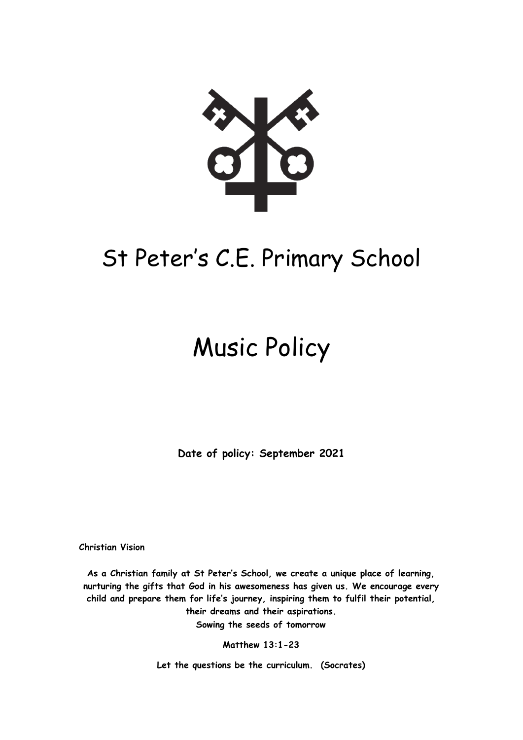

# St Peter's C.E. Primary School

# Music Policy

**Date of policy: September 2021**

**Christian Vision** 

**As a Christian family at St Peter's School, we create a unique place of learning, nurturing the gifts that God in his awesomeness has given us. We encourage every child and prepare them for life's journey, inspiring them to fulfil their potential, their dreams and their aspirations. Sowing the seeds of tomorrow**

**Matthew 13:1-23**

**Let the questions be the curriculum. (Socrates)**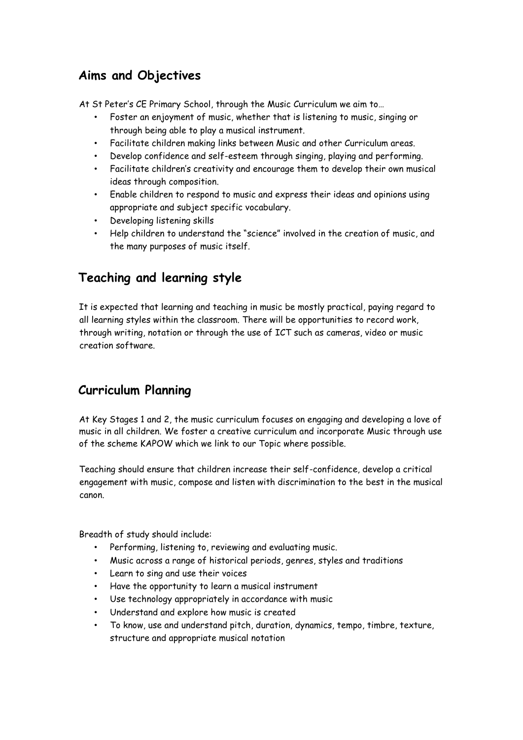# **Aims and Objectives**

At St Peter's CE Primary School, through the Music Curriculum we aim to…

- Foster an enjoyment of music, whether that is listening to music, singing or through being able to play a musical instrument.
- Facilitate children making links between Music and other Curriculum areas.
- Develop confidence and self-esteem through singing, playing and performing.
- Facilitate children's creativity and encourage them to develop their own musical ideas through composition.
- Enable children to respond to music and express their ideas and opinions using appropriate and subject specific vocabulary.
- Developing listening skills
- Help children to understand the "science" involved in the creation of music, and the many purposes of music itself.

#### **Teaching and learning style**

It is expected that learning and teaching in music be mostly practical, paying regard to all learning styles within the classroom. There will be opportunities to record work, through writing, notation or through the use of ICT such as cameras, video or music creation software.

# **Curriculum Planning**

At Key Stages 1 and 2, the music curriculum focuses on engaging and developing a love of music in all children. We foster a creative curriculum and incorporate Music through use of the scheme KAPOW which we link to our Topic where possible.

Teaching should ensure that children increase their self-confidence, develop a critical engagement with music, compose and listen with discrimination to the best in the musical canon.

Breadth of study should include:

- Performing, listening to, reviewing and evaluating music.
- Music across a range of historical periods, genres, styles and traditions
- Learn to sing and use their voices
- Have the opportunity to learn a musical instrument
- Use technology appropriately in accordance with music
- Understand and explore how music is created
- To know, use and understand pitch, duration, dynamics, tempo, timbre, texture, structure and appropriate musical notation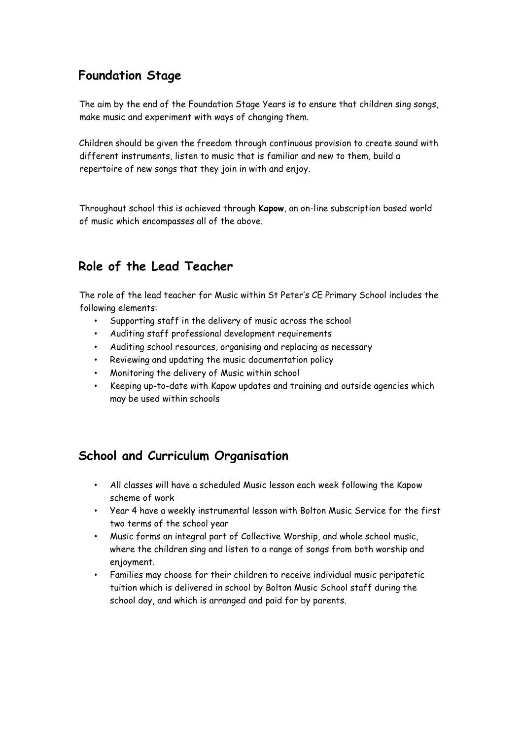# **Foundation Stage**

The aim by the end of the Foundation Stage Years is to ensure that children sing songs, make music and experiment with ways of changing them.

Children should be given the freedom through continuous provision to create sound with different instruments, listen to music that is familiar and new to them, build a repertoire of new songs that they join in with and enjoy.

Throughout school this is achieved through **Kapow**, an on-line subscription based world of music which encompasses all of the above.

# **Role of the Lead Teacher**

The role of the lead teacher for Music within St Peter's CE Primary School includes the following elements:

- Supporting staff in the delivery of music across the school
- Auditing staff professional development requirements
- Auditing school resources, organising and replacing as necessary
- Reviewing and updating the music documentation policy
- Monitoring the delivery of Music within school
- Keeping up-to-date with Kapow updates and training and outside agencies which may be used within schools

# **School and Curriculum Organisation**

- All classes will have a scheduled Music lesson each week following the Kapow scheme of work
- Year 4 have a weekly instrumental lesson with Bolton Music Service for the first two terms of the school year
- Music forms an integral part of Collective Worship, and whole school music, where the children sing and listen to a range of songs from both worship and enjoyment.
- Families may choose for their children to receive individual music peripatetic tuition which is delivered in school by Bolton Music School staff during the school day, and which is arranged and paid for by parents.